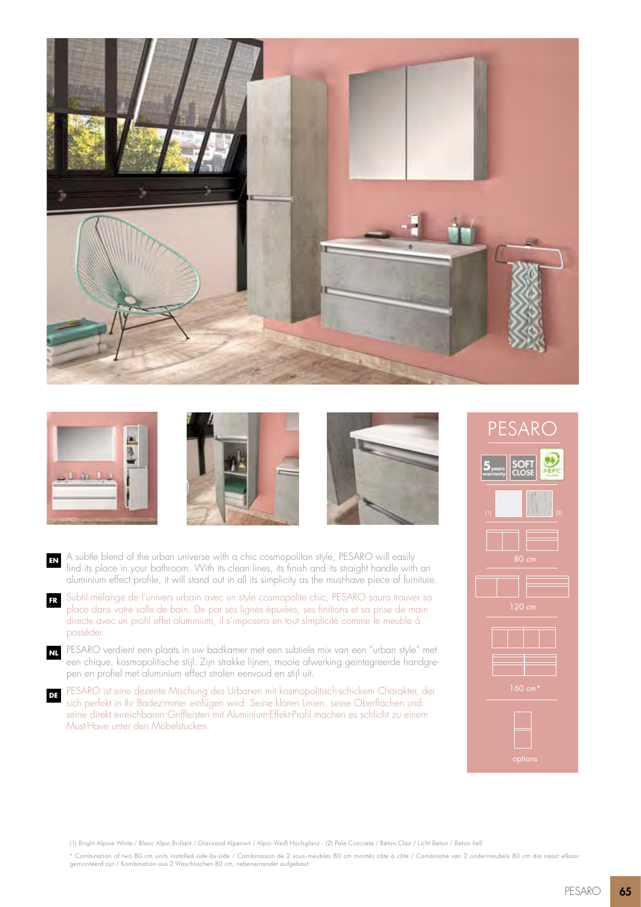







- **EN** A subtle blend of the urban universe with a chic cosmopolitan style, PESARO will easily find its place in your bathroom. With its clean lines, its finish and its straight handle with an aluminium effect profile, it will stand out in all its simplicity as the must-have piece of furniture.
- **FR** Subtil mélange de l'univers urbain avec un style cosmopolite chic, PESARO saura trouver sa place dans votre salle de bain. De par ses lignes épurées, ses finitions et sa prise de main directe avec un profil effet aluminium, il s'imposera en tout simplicité comme le meuble à posséder.
- **NL** PESARO verdient een plaats in uw badkamer met een subtiele mix van een "urban style" met een chique, kosmopolitische stijl. Zijn strakke lijnen, mooie afwerking geïntegreerde handgrepen en profiel met aluminium effect stralen eenvoud en stijl uit.
- **DE** PESARO ist eine dezente Mischung des Urbanen mit kosmopolitisch-schickem Charakter, der sich perfekt in Ihr Badezimmer einfügen wird. Seine klaren Linien, seine Oberflächen und seine direkt erreichbaren Griffleisten mit Aluminium-Effekt-Profil machen es schlicht zu einem Must-Have unter den Möbelstücken.



(1) Bright Alpine White / Blanc Alpin Brillant / Glanzend Alpenwit / Alpin-Weiß Hochglanz - (2) Pale Concrete / Béton Clair / Licht Beton / Beton hell

\* Combination of two 80 cm units installed side-by-side / Combinaison de 2 sous-meubles 80 cm montés côte à côte / Combinatie van 2 ondermeubels 80 cm die naast elkaar gemonteerd zijn / Kombination aus 2 Waschtischen 80 cm, nebeneinander aufgebaut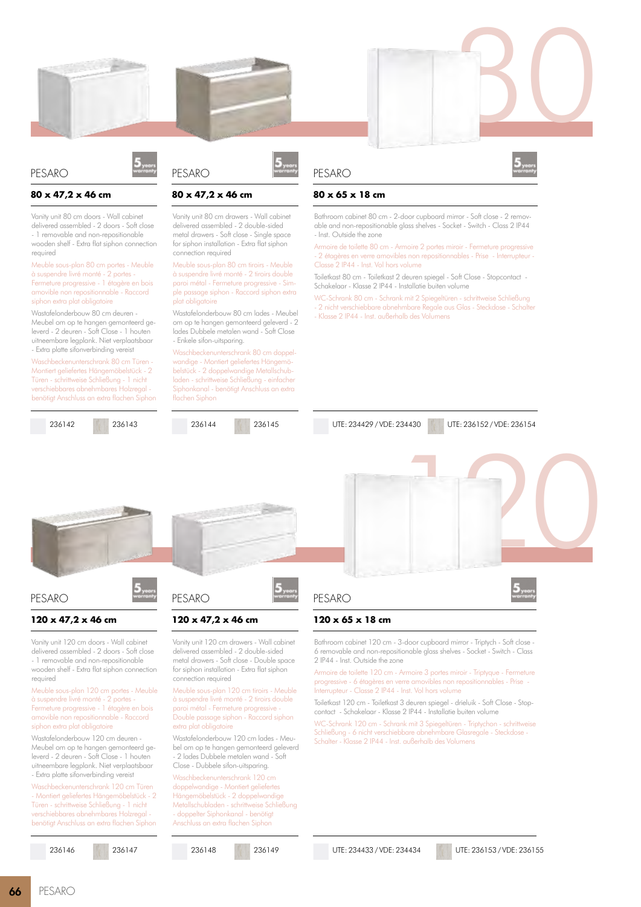



#### **80 x 47,2 x 46 cm**

Vanity unit 80 cm doors - Wall cabinet delivered assembled - 2 doors - Soft close - 1 removable and non-repositionable wooden shelf - Extra flat siphon connection required

Meuble sous-plan 80 cm portes - Meuble à suspendre livré monté - 2 portes - Fermeture progressive - 1 étagère en bois amovible non repositionnable - Raccord siphon extra plat obligatoire

Wastafelonderbouw 80 cm deuren - Meubel om op te hangen gemonteerd geleverd - 2 deuren - Soft Close - 1 houten uitneembare legplank. Niet verplaatsbaar - Extra platte sifonverbinding vereist

Waschbeckenunterschrank 80 cm Türen Montiert geliefertes Hängemöbelstück - 2 Türen - schrittweise Schließung - 1 nicht verschiebbares abnehmbares Holzregal benötigt Anschluss an extra flachen Siphon

236142 236143



# **80 x 47,2 x 46 cm**

PESARO

Vanity unit 80 cm drawers - Wall cabinet delivered assembled - 2 double-sided metal drawers - Soft close - Single space for siphon installation - Extra flat siphon connection required

Meuble sous-plan 80 cm tiroirs - Meuble à suspendre livré monté - 2 tiroirs double paroi métal - Fermeture progressive - Simple passage siphon - Raccord siphon extra plat obligatoire

Wastafelonderbouw 80 cm lades - Meubel om op te hangen gemonteerd geleverd - 2 lades Dubbele metalen wand - Soft Close - Enkele sifon-uitsparing.

Waschbeckenunterschrank 80 cm doppelwandige - Montiert geliefertes Hängemöbelstück - 2 doppelwandige Metallschubladen - schrittweise Schließung - einfacher Siphonkanal - benötigt Anschluss an extra flachen Siphon





# **80 x 65 x 18 cm**

PESARO

Bathroom cabinet 80 cm - 2-door cupboard mirror - Soft close - 2 removable and non-repositionable glass shelves - Socket - Switch - Class 2 IP44 - Inst. Outside the zone

Armoire de toilette 80 cm - Armoire 2 portes miroir - Fermeture progressive - 2 étagères en verre amovibles non repositionnables - Prise - Interrupteur - Classe 2 IP44 - Inst. Vol hors volume

Toiletkast 80 cm - Toiletkast 2 deuren spiegel - Soft Close - Stopcontact - Schakelaar - Klasse 2 IP44 - Installatie buiten volume

WC-Schrank 80 cm - Schrank mit 2 Spiegeltüren - schrittweise Schließung 2 nicht verschiebbare abnehmbare Regale aus Glas - Steckdose - Schalter

Bathroom cabinet 120 cm - 3-door cupboard mirror - Triptych - Soft close - 6 removable and non-repositionable glass shelves - Socket - Switch - Class

Armoire de toilette 120 cm - Armoire 3 portes miroir - Triptyque - Fermeture progressive - 6 étagères en verre amovibles non repositionnables - Prise -

Toiletkast 120 cm - Toiletkast 3 deuren spiegel - drieluik - Soft Close - Stopcontact - Schakelaar - Klasse 2 IP44 - Installatie buiten volume

WC-Schrank 120 cm - Schrank mit 3 Spiegeltüren - Triptychon - schrittweise Schließung - 6 nicht verschiebbare abnehmbare Glasregale - Steckdose -

- Klasse 2 IP44 - Inst. außerhalb des Volumens

**120 x 65 x 18 cm**

2 IP44 - Inst. Outside the zone

Interrupteur - Classe 2 IP44 - Inst. Vol hors volume

Schalter - Klasse 2 IP44 - Inst. außerhalb des Volumens

PESARO

UTE: 234429 / VDE: 234430 UTE: 236152 / VDE: 236154

120



### PESARO

### **120 x 47,2 x 46 cm**

Vanity unit 120 cm doors - Wall cabinet delivered assembled - 2 doors - Soft close - 1 removable and non-repositionable wooden shelf - Extra flat siphon connection required

Meuble sous-plan 120 cm portes - Meuble à suspendre livré monté - 2 portes - Fermeture progressive - 1 étagère en bois amovible non repositionnable - Raccord siphon extra plat obligatoire

Wastafelonderbouw 120 cm deuren - Meubel om op te hangen gemonteerd geleverd - 2 deuren - Soft Close - 1 houten uitneembare legplank. Niet verplaatsbaar - Extra platte sifonverbinding vereist

Waschbeckenunterschrank 120 cm Türen - Montiert geliefertes Hängemöbelstück - 2 Türen - schrittweise Schließung - 1 nicht verschiebbares abnehmbares Holzregal benötigt Anschluss an extra flachen Siphon

236146 236147



### **120 x 47,2 x 46 cm**

Vanity unit 120 cm drawers - Wall cabinet delivered assembled - 2 double-sided metal drawers - Soft close - Double space for siphon installation - Extra flat siphon connection required

Meuble sous-plan 120 cm tiroirs - Meuble à suspendre livré monté - 2 tiroirs double paroi métal - Fermeture progressive Double passage siphon - Raccord siphon extra plat obligatoire

Wastafelonderbouw 120 cm lades - Meubel om op te hangen gemonteerd geleverd - 2 lades Dubbele metalen wand - Soft Close - Dubbele sifon-uitsparing.

Waschbeckenunterschrank 120 cm doppelwandige - Montiert geliefertes Hängemöbelstück - 2 doppelwandige Metallschubladen - schrittweise Schließung - doppelter Siphonkanal - benötigt Anschluss an extra flachen Siphon

236148 236149